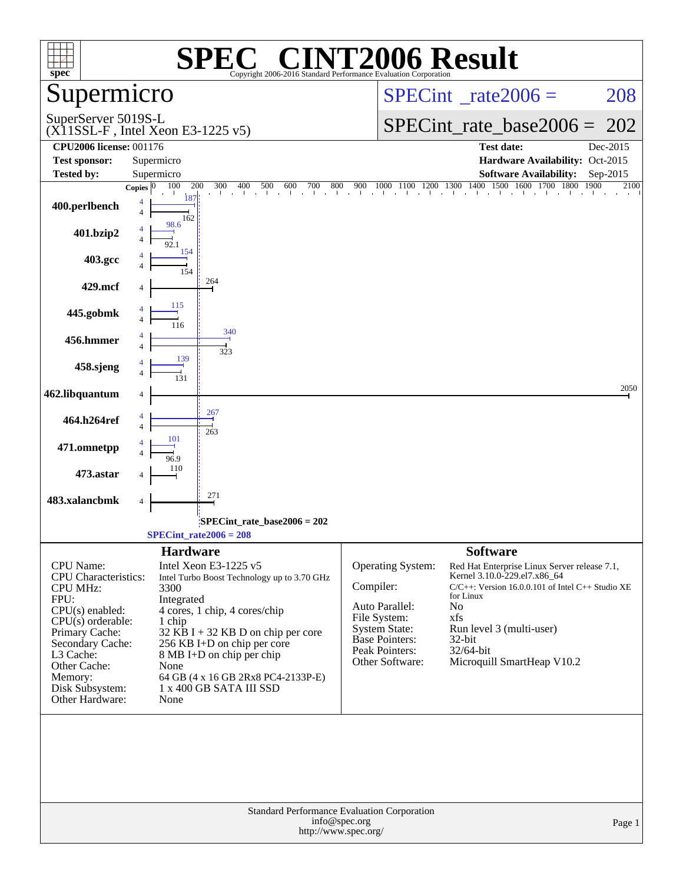| spec <sup>®</sup>                                                                                                                                                                                                                   | $\blacksquare$<br>SPE<br>Copyright 2006-2016 Standard Performance Evaluation Corporation                                                                                                                                                                                                                                                      | <b>INT2006 Result</b>                                                                                                                                                                                                                                                                                                                                                                                                       |
|-------------------------------------------------------------------------------------------------------------------------------------------------------------------------------------------------------------------------------------|-----------------------------------------------------------------------------------------------------------------------------------------------------------------------------------------------------------------------------------------------------------------------------------------------------------------------------------------------|-----------------------------------------------------------------------------------------------------------------------------------------------------------------------------------------------------------------------------------------------------------------------------------------------------------------------------------------------------------------------------------------------------------------------------|
| Supermicro                                                                                                                                                                                                                          |                                                                                                                                                                                                                                                                                                                                               | $SPECint^{\circ}$ <sub>_rate2006</sub> =<br>208                                                                                                                                                                                                                                                                                                                                                                             |
| SuperServer 5019S-L                                                                                                                                                                                                                 | $(X11SSL-F$ , Intel Xeon E3-1225 v5)                                                                                                                                                                                                                                                                                                          | $SPECint_rate\_base2006 =$<br>202                                                                                                                                                                                                                                                                                                                                                                                           |
| <b>CPU2006 license: 001176</b>                                                                                                                                                                                                      |                                                                                                                                                                                                                                                                                                                                               | <b>Test date:</b><br>Dec-2015                                                                                                                                                                                                                                                                                                                                                                                               |
| <b>Test sponsor:</b>                                                                                                                                                                                                                | Supermicro                                                                                                                                                                                                                                                                                                                                    | Hardware Availability: Oct-2015                                                                                                                                                                                                                                                                                                                                                                                             |
| Tested by:                                                                                                                                                                                                                          | Supermicro<br>100<br>200<br>300<br>Copies $ 0 $                                                                                                                                                                                                                                                                                               | <b>Software Availability:</b><br>Sep-2015<br>2100                                                                                                                                                                                                                                                                                                                                                                           |
| 400.perlbench                                                                                                                                                                                                                       | 18'<br>$\overline{4}$<br>162                                                                                                                                                                                                                                                                                                                  | 300 400 500 600 700 800 900 1000 1100 1200 1300 1400 1500 1600 1700 1800 1900                                                                                                                                                                                                                                                                                                                                               |
| 401.bzip2                                                                                                                                                                                                                           | 98.6<br>154                                                                                                                                                                                                                                                                                                                                   |                                                                                                                                                                                                                                                                                                                                                                                                                             |
| 403.gcc                                                                                                                                                                                                                             | 154                                                                                                                                                                                                                                                                                                                                           |                                                                                                                                                                                                                                                                                                                                                                                                                             |
| 429.mcf                                                                                                                                                                                                                             | 264                                                                                                                                                                                                                                                                                                                                           |                                                                                                                                                                                                                                                                                                                                                                                                                             |
| 445.gobmk                                                                                                                                                                                                                           | 115                                                                                                                                                                                                                                                                                                                                           |                                                                                                                                                                                                                                                                                                                                                                                                                             |
| 456.hmmer                                                                                                                                                                                                                           | 340<br>323<br>139                                                                                                                                                                                                                                                                                                                             |                                                                                                                                                                                                                                                                                                                                                                                                                             |
| 458.sjeng                                                                                                                                                                                                                           |                                                                                                                                                                                                                                                                                                                                               |                                                                                                                                                                                                                                                                                                                                                                                                                             |
| 462.libquantum                                                                                                                                                                                                                      |                                                                                                                                                                                                                                                                                                                                               | 2050                                                                                                                                                                                                                                                                                                                                                                                                                        |
| 464.h264ref                                                                                                                                                                                                                         | 267<br>263<br>101                                                                                                                                                                                                                                                                                                                             |                                                                                                                                                                                                                                                                                                                                                                                                                             |
| 471.omnetpp                                                                                                                                                                                                                         | 96.9                                                                                                                                                                                                                                                                                                                                          |                                                                                                                                                                                                                                                                                                                                                                                                                             |
| 473.astar                                                                                                                                                                                                                           | 110                                                                                                                                                                                                                                                                                                                                           |                                                                                                                                                                                                                                                                                                                                                                                                                             |
| 483.xalancbmk                                                                                                                                                                                                                       | 271<br>4                                                                                                                                                                                                                                                                                                                                      |                                                                                                                                                                                                                                                                                                                                                                                                                             |
|                                                                                                                                                                                                                                     | $SPECint$ rate_base2006 = 202<br>$SPECint_rate2006 = 208$                                                                                                                                                                                                                                                                                     |                                                                                                                                                                                                                                                                                                                                                                                                                             |
| <b>CPU</b> Name:<br>CPU Characteristics:<br><b>CPU MHz:</b><br>FPU:<br>$CPU(s)$ enabled:<br>$CPU(s)$ orderable:<br>Primary Cache:<br>Secondary Cache:<br>L3 Cache:<br>Other Cache:<br>Memory:<br>Disk Subsystem:<br>Other Hardware: | <b>Hardware</b><br>Intel Xeon E3-1225 v5<br>Intel Turbo Boost Technology up to 3.70 GHz<br>3300<br>Integrated<br>4 cores, 1 chip, 4 cores/chip<br>1 chip<br>$32$ KB I + 32 KB D on chip per core<br>256 KB I+D on chip per core<br>8 MB I+D on chip per chip<br>None<br>64 GB (4 x 16 GB 2Rx8 PC4-2133P-E)<br>1 x 400 GB SATA III SSD<br>None | <b>Software</b><br>Operating System:<br>Red Hat Enterprise Linux Server release 7.1,<br>Kernel 3.10.0-229.el7.x86_64<br>Compiler:<br>$C/C++$ : Version 16.0.0.101 of Intel C++ Studio XE<br>for Linux<br>Auto Parallel:<br>No<br>File System:<br>xfs<br><b>System State:</b><br>Run level 3 (multi-user)<br><b>Base Pointers:</b><br>32-bit<br>Peak Pointers:<br>32/64-bit<br>Other Software:<br>Microquill SmartHeap V10.2 |
|                                                                                                                                                                                                                                     | <b>Standard Performance Evaluation Corporation</b><br>info@spec.org<br>http://www.spec.org/                                                                                                                                                                                                                                                   | Page 1                                                                                                                                                                                                                                                                                                                                                                                                                      |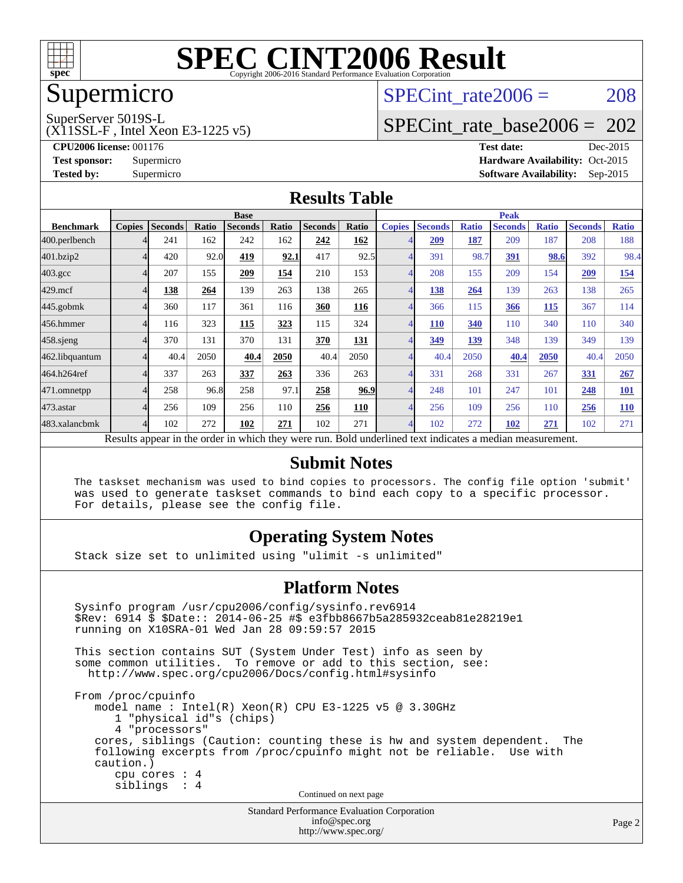

## Supermicro

## SPECint rate $2006 = 208$

SuperServer 5019S-L

(X11SSL-F , Intel Xeon E3-1225 v5)

[SPECint\\_rate\\_base2006 =](http://www.spec.org/auto/cpu2006/Docs/result-fields.html#SPECintratebase2006) 202

**[CPU2006 license:](http://www.spec.org/auto/cpu2006/Docs/result-fields.html#CPU2006license)** 001176 **[Test date:](http://www.spec.org/auto/cpu2006/Docs/result-fields.html#Testdate)** Dec-2015 **[Test sponsor:](http://www.spec.org/auto/cpu2006/Docs/result-fields.html#Testsponsor)** Supermicro Supermicro **[Hardware Availability:](http://www.spec.org/auto/cpu2006/Docs/result-fields.html#HardwareAvailability)** Oct-2015 **[Tested by:](http://www.spec.org/auto/cpu2006/Docs/result-fields.html#Testedby)** Supermicro **Supermicro [Software Availability:](http://www.spec.org/auto/cpu2006/Docs/result-fields.html#SoftwareAvailability)** Sep-2015

#### **[Results Table](http://www.spec.org/auto/cpu2006/Docs/result-fields.html#ResultsTable)**

|                    | <b>Base</b>                                                                                                                             |                |              |                |       |                | <b>Peak</b> |               |                |              |                |              |                |              |
|--------------------|-----------------------------------------------------------------------------------------------------------------------------------------|----------------|--------------|----------------|-------|----------------|-------------|---------------|----------------|--------------|----------------|--------------|----------------|--------------|
| <b>Benchmark</b>   | <b>Copies</b>                                                                                                                           | <b>Seconds</b> | <b>Ratio</b> | <b>Seconds</b> | Ratio | <b>Seconds</b> | Ratio       | <b>Copies</b> | <b>Seconds</b> | <b>Ratio</b> | <b>Seconds</b> | <b>Ratio</b> | <b>Seconds</b> | <b>Ratio</b> |
| 400.perlbench      |                                                                                                                                         | 241            | 162          | 242            | 162   | 242            | 162         |               | 209            | 187          | 209            | 187          | 208            | 188          |
| 401.bzip2          |                                                                                                                                         | 420            | 92.0         | 419            | 92.1  | 417            | 92.5        |               | 391            | 98.7         | 391            | 98.6         | 392            | 98.4         |
| $403.\mathrm{gcc}$ |                                                                                                                                         | 207            | 155          | 209            | 154   | 210            | 153         |               | 208            | 155          | 209            | 154          | 209            | 154          |
| $429$ .mcf         |                                                                                                                                         | 138            | 264          | 139            | 263   | 138            | 265         |               | 138            | 264          | 139            | 263          | 138            | 265          |
| 445.gobmk          |                                                                                                                                         | 360            | 117          | 361            | 116   | 360            | 116         |               | 366            | 115          | 366            | <b>115</b>   | 367            | 114          |
| 456.hmmer          |                                                                                                                                         | 116            | 323          | 115            | 323   | 115            | 324         |               | <b>110</b>     | 340          | 110            | 340          | 110            | 340          |
| $458$ .sjeng       |                                                                                                                                         | 370            | 131          | 370            | 131   | 370            | <b>131</b>  |               | 349            | 139          | 348            | 139          | 349            | 139          |
| 462.libquantum     |                                                                                                                                         | 40.4           | 2050         | 40.4           | 2050  | 40.4           | 2050        |               | 40.4           | 2050         | 40.4           | 2050         | 40.4           | 2050         |
| 464.h264ref        | 4                                                                                                                                       | 337            | 263          | 337            | 263   | 336            | 263         |               | 331            | 268          | 331            | 267          | 331            | 267          |
| 471.omnetpp        |                                                                                                                                         | 258            | 96.8         | 258            | 97.1  | 258            | 96.9        |               | 248            | 101          | 247            | 101          | 248            | <b>101</b>   |
| $473$ . astar      |                                                                                                                                         | 256            | 109          | 256            | 110   | 256            | 110         |               | 256            | 109          | 256            | 110          | 256            | <b>110</b>   |
| 483.xalancbmk      |                                                                                                                                         | 102            | 272          | 102            | 271   | 102            | 271         |               | 102            | 272          | 102            | 271          | 102            | 271          |
|                    | Described and can be the condensing colorate the concerns more<br>. Die 14 see deel en dit ook in die steen naar die naam en ontwerpent |                |              |                |       |                |             |               |                |              |                |              |                |              |

Results appear in the [order in which they were run.](http://www.spec.org/auto/cpu2006/Docs/result-fields.html#RunOrder) Bold underlined text [indicates a median measurement.](http://www.spec.org/auto/cpu2006/Docs/result-fields.html#Median)

#### **[Submit Notes](http://www.spec.org/auto/cpu2006/Docs/result-fields.html#SubmitNotes)**

 The taskset mechanism was used to bind copies to processors. The config file option 'submit' was used to generate taskset commands to bind each copy to a specific processor. For details, please see the config file.

#### **[Operating System Notes](http://www.spec.org/auto/cpu2006/Docs/result-fields.html#OperatingSystemNotes)**

Stack size set to unlimited using "ulimit -s unlimited"

#### **[Platform Notes](http://www.spec.org/auto/cpu2006/Docs/result-fields.html#PlatformNotes)**

Standard Performance Evaluation Corporation Sysinfo program /usr/cpu2006/config/sysinfo.rev6914 \$Rev: 6914 \$ \$Date:: 2014-06-25 #\$ e3fbb8667b5a285932ceab81e28219e1 running on X10SRA-01 Wed Jan 28 09:59:57 2015 This section contains SUT (System Under Test) info as seen by some common utilities. To remove or add to this section, see: <http://www.spec.org/cpu2006/Docs/config.html#sysinfo> From /proc/cpuinfo model name : Intel(R) Xeon(R) CPU E3-1225 v5 @ 3.30GHz 1 "physical id"s (chips) 4 "processors" cores, siblings (Caution: counting these is hw and system dependent. The following excerpts from /proc/cpuinfo might not be reliable. Use with caution.) cpu cores : 4 siblings : 4 Continued on next page

[info@spec.org](mailto:info@spec.org) <http://www.spec.org/>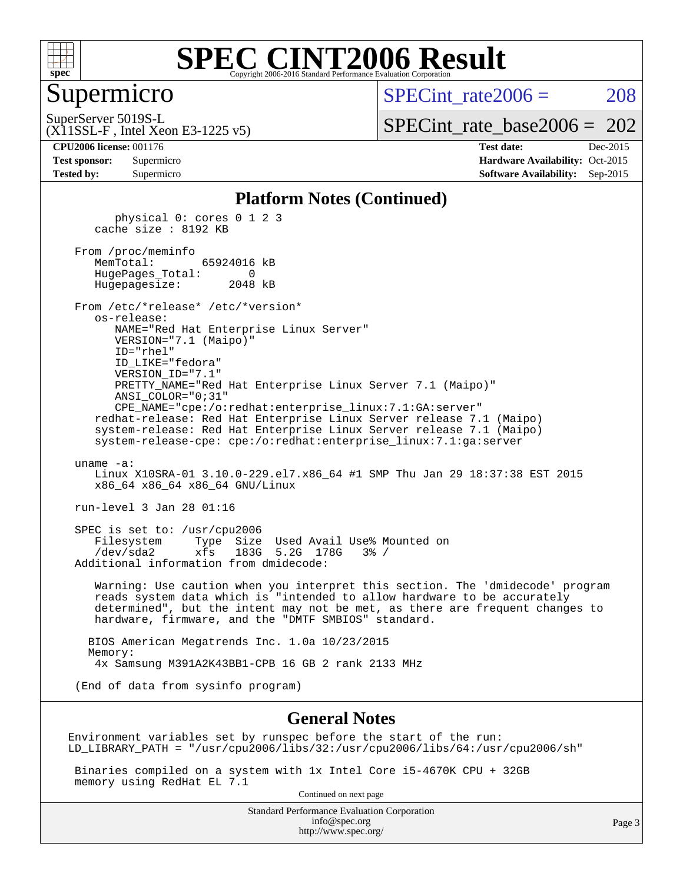

#### Supermicro

SPECint rate $2006 = 208$ 

(X11SSL-F , Intel Xeon E3-1225 v5) SuperServer 5019S-L

[SPECint\\_rate\\_base2006 =](http://www.spec.org/auto/cpu2006/Docs/result-fields.html#SPECintratebase2006) 202

**[CPU2006 license:](http://www.spec.org/auto/cpu2006/Docs/result-fields.html#CPU2006license)** 001176 **[Test date:](http://www.spec.org/auto/cpu2006/Docs/result-fields.html#Testdate)** Dec-2015

| <b>Test sponsor:</b> | Supermicro |
|----------------------|------------|
| <b>Tested by:</b>    | Supermicro |

**[Hardware Availability:](http://www.spec.org/auto/cpu2006/Docs/result-fields.html#HardwareAvailability)** Oct-2015 **[Software Availability:](http://www.spec.org/auto/cpu2006/Docs/result-fields.html#SoftwareAvailability)** Sep-2015

#### **[Platform Notes \(Continued\)](http://www.spec.org/auto/cpu2006/Docs/result-fields.html#PlatformNotes)**

 physical 0: cores 0 1 2 3 cache size : 8192 KB From /proc/meminfo MemTotal: 65924016 kB HugePages\_Total: 0 Hugepagesize: 2048 kB From /etc/\*release\* /etc/\*version\* os-release: NAME="Red Hat Enterprise Linux Server" VERSION="7.1 (Maipo)" ID="rhel" ID\_LIKE="fedora" VERSION\_ID="7.1" PRETTY\_NAME="Red Hat Enterprise Linux Server 7.1 (Maipo)" ANSI\_COLOR="0;31" CPE\_NAME="cpe:/o:redhat:enterprise\_linux:7.1:GA:server" redhat-release: Red Hat Enterprise Linux Server release 7.1 (Maipo) system-release: Red Hat Enterprise Linux Server release 7.1 (Maipo) system-release-cpe: cpe:/o:redhat:enterprise\_linux:7.1:ga:server uname -a: Linux X10SRA-01 3.10.0-229.el7.x86\_64 #1 SMP Thu Jan 29 18:37:38 EST 2015 x86\_64 x86\_64 x86\_64 GNU/Linux run-level 3 Jan 28 01:16 SPEC is set to: /usr/cpu2006 Filesystem Type Size Used Avail Use% Mounted on /dev/sda2 xfs 183G 5.2G 178G 3% / Additional information from dmidecode: Warning: Use caution when you interpret this section. The 'dmidecode' program reads system data which is "intended to allow hardware to be accurately determined", but the intent may not be met, as there are frequent changes to hardware, firmware, and the "DMTF SMBIOS" standard.

 BIOS American Megatrends Inc. 1.0a 10/23/2015 Memory: 4x Samsung M391A2K43BB1-CPB 16 GB 2 rank 2133 MHz

(End of data from sysinfo program)

#### **[General Notes](http://www.spec.org/auto/cpu2006/Docs/result-fields.html#GeneralNotes)**

Environment variables set by runspec before the start of the run: LD\_LIBRARY\_PATH = "/usr/cpu2006/libs/32:/usr/cpu2006/libs/64:/usr/cpu2006/sh"

 Binaries compiled on a system with 1x Intel Core i5-4670K CPU + 32GB memory using RedHat EL 7.1

Continued on next page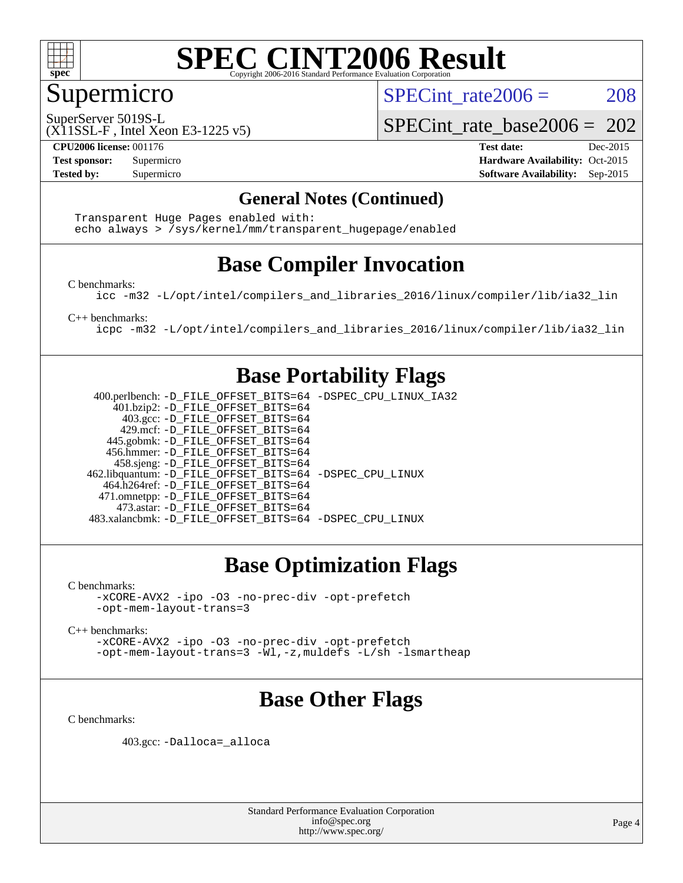

### Supermicro

SPECint rate $2006 = 208$ 

SuperServer 5019S-L

SPECint rate base2006 =  $202$ 

(X11SSL-F , Intel Xeon E3-1225 v5)

**[CPU2006 license:](http://www.spec.org/auto/cpu2006/Docs/result-fields.html#CPU2006license)** 001176 **[Test date:](http://www.spec.org/auto/cpu2006/Docs/result-fields.html#Testdate)** Dec-2015 **[Test sponsor:](http://www.spec.org/auto/cpu2006/Docs/result-fields.html#Testsponsor)** Supermicro Supermicro **[Hardware Availability:](http://www.spec.org/auto/cpu2006/Docs/result-fields.html#HardwareAvailability)** Oct-2015 **[Tested by:](http://www.spec.org/auto/cpu2006/Docs/result-fields.html#Testedby)** Supermicro **Supermicro [Software Availability:](http://www.spec.org/auto/cpu2006/Docs/result-fields.html#SoftwareAvailability)** Sep-2015

#### **[General Notes \(Continued\)](http://www.spec.org/auto/cpu2006/Docs/result-fields.html#GeneralNotes)**

 Transparent Huge Pages enabled with: echo always > /sys/kernel/mm/transparent\_hugepage/enabled

### **[Base Compiler Invocation](http://www.spec.org/auto/cpu2006/Docs/result-fields.html#BaseCompilerInvocation)**

[C benchmarks](http://www.spec.org/auto/cpu2006/Docs/result-fields.html#Cbenchmarks):

[icc -m32 -L/opt/intel/compilers\\_and\\_libraries\\_2016/linux/compiler/lib/ia32\\_lin](http://www.spec.org/cpu2006/results/res2016q1/cpu2006-20151223-38500.flags.html#user_CCbase_intel_icc_e10256ba5924b668798078a321b0cb3f)

[C++ benchmarks:](http://www.spec.org/auto/cpu2006/Docs/result-fields.html#CXXbenchmarks)

[icpc -m32 -L/opt/intel/compilers\\_and\\_libraries\\_2016/linux/compiler/lib/ia32\\_lin](http://www.spec.org/cpu2006/results/res2016q1/cpu2006-20151223-38500.flags.html#user_CXXbase_intel_icpc_b4f50a394bdb4597aa5879c16bc3f5c5)

#### **[Base Portability Flags](http://www.spec.org/auto/cpu2006/Docs/result-fields.html#BasePortabilityFlags)**

 400.perlbench: [-D\\_FILE\\_OFFSET\\_BITS=64](http://www.spec.org/cpu2006/results/res2016q1/cpu2006-20151223-38500.flags.html#user_basePORTABILITY400_perlbench_file_offset_bits_64_438cf9856305ebd76870a2c6dc2689ab) [-DSPEC\\_CPU\\_LINUX\\_IA32](http://www.spec.org/cpu2006/results/res2016q1/cpu2006-20151223-38500.flags.html#b400.perlbench_baseCPORTABILITY_DSPEC_CPU_LINUX_IA32) 401.bzip2: [-D\\_FILE\\_OFFSET\\_BITS=64](http://www.spec.org/cpu2006/results/res2016q1/cpu2006-20151223-38500.flags.html#user_basePORTABILITY401_bzip2_file_offset_bits_64_438cf9856305ebd76870a2c6dc2689ab) 403.gcc: [-D\\_FILE\\_OFFSET\\_BITS=64](http://www.spec.org/cpu2006/results/res2016q1/cpu2006-20151223-38500.flags.html#user_basePORTABILITY403_gcc_file_offset_bits_64_438cf9856305ebd76870a2c6dc2689ab) 429.mcf: [-D\\_FILE\\_OFFSET\\_BITS=64](http://www.spec.org/cpu2006/results/res2016q1/cpu2006-20151223-38500.flags.html#user_basePORTABILITY429_mcf_file_offset_bits_64_438cf9856305ebd76870a2c6dc2689ab) 445.gobmk: [-D\\_FILE\\_OFFSET\\_BITS=64](http://www.spec.org/cpu2006/results/res2016q1/cpu2006-20151223-38500.flags.html#user_basePORTABILITY445_gobmk_file_offset_bits_64_438cf9856305ebd76870a2c6dc2689ab) 456.hmmer: [-D\\_FILE\\_OFFSET\\_BITS=64](http://www.spec.org/cpu2006/results/res2016q1/cpu2006-20151223-38500.flags.html#user_basePORTABILITY456_hmmer_file_offset_bits_64_438cf9856305ebd76870a2c6dc2689ab) 458.sjeng: [-D\\_FILE\\_OFFSET\\_BITS=64](http://www.spec.org/cpu2006/results/res2016q1/cpu2006-20151223-38500.flags.html#user_basePORTABILITY458_sjeng_file_offset_bits_64_438cf9856305ebd76870a2c6dc2689ab) 462.libquantum: [-D\\_FILE\\_OFFSET\\_BITS=64](http://www.spec.org/cpu2006/results/res2016q1/cpu2006-20151223-38500.flags.html#user_basePORTABILITY462_libquantum_file_offset_bits_64_438cf9856305ebd76870a2c6dc2689ab) [-DSPEC\\_CPU\\_LINUX](http://www.spec.org/cpu2006/results/res2016q1/cpu2006-20151223-38500.flags.html#b462.libquantum_baseCPORTABILITY_DSPEC_CPU_LINUX) 464.h264ref: [-D\\_FILE\\_OFFSET\\_BITS=64](http://www.spec.org/cpu2006/results/res2016q1/cpu2006-20151223-38500.flags.html#user_basePORTABILITY464_h264ref_file_offset_bits_64_438cf9856305ebd76870a2c6dc2689ab) 471.omnetpp: [-D\\_FILE\\_OFFSET\\_BITS=64](http://www.spec.org/cpu2006/results/res2016q1/cpu2006-20151223-38500.flags.html#user_basePORTABILITY471_omnetpp_file_offset_bits_64_438cf9856305ebd76870a2c6dc2689ab) 473.astar: [-D\\_FILE\\_OFFSET\\_BITS=64](http://www.spec.org/cpu2006/results/res2016q1/cpu2006-20151223-38500.flags.html#user_basePORTABILITY473_astar_file_offset_bits_64_438cf9856305ebd76870a2c6dc2689ab) 483.xalancbmk: [-D\\_FILE\\_OFFSET\\_BITS=64](http://www.spec.org/cpu2006/results/res2016q1/cpu2006-20151223-38500.flags.html#user_basePORTABILITY483_xalancbmk_file_offset_bits_64_438cf9856305ebd76870a2c6dc2689ab) [-DSPEC\\_CPU\\_LINUX](http://www.spec.org/cpu2006/results/res2016q1/cpu2006-20151223-38500.flags.html#b483.xalancbmk_baseCXXPORTABILITY_DSPEC_CPU_LINUX)

## **[Base Optimization Flags](http://www.spec.org/auto/cpu2006/Docs/result-fields.html#BaseOptimizationFlags)**

[C benchmarks](http://www.spec.org/auto/cpu2006/Docs/result-fields.html#Cbenchmarks):

[-xCORE-AVX2](http://www.spec.org/cpu2006/results/res2016q1/cpu2006-20151223-38500.flags.html#user_CCbase_f-xAVX2_5f5fc0cbe2c9f62c816d3e45806c70d7) [-ipo](http://www.spec.org/cpu2006/results/res2016q1/cpu2006-20151223-38500.flags.html#user_CCbase_f-ipo) [-O3](http://www.spec.org/cpu2006/results/res2016q1/cpu2006-20151223-38500.flags.html#user_CCbase_f-O3) [-no-prec-div](http://www.spec.org/cpu2006/results/res2016q1/cpu2006-20151223-38500.flags.html#user_CCbase_f-no-prec-div) [-opt-prefetch](http://www.spec.org/cpu2006/results/res2016q1/cpu2006-20151223-38500.flags.html#user_CCbase_f-opt-prefetch) [-opt-mem-layout-trans=3](http://www.spec.org/cpu2006/results/res2016q1/cpu2006-20151223-38500.flags.html#user_CCbase_f-opt-mem-layout-trans_a7b82ad4bd7abf52556d4961a2ae94d5)

[C++ benchmarks:](http://www.spec.org/auto/cpu2006/Docs/result-fields.html#CXXbenchmarks)

[-xCORE-AVX2](http://www.spec.org/cpu2006/results/res2016q1/cpu2006-20151223-38500.flags.html#user_CXXbase_f-xAVX2_5f5fc0cbe2c9f62c816d3e45806c70d7) [-ipo](http://www.spec.org/cpu2006/results/res2016q1/cpu2006-20151223-38500.flags.html#user_CXXbase_f-ipo) [-O3](http://www.spec.org/cpu2006/results/res2016q1/cpu2006-20151223-38500.flags.html#user_CXXbase_f-O3) [-no-prec-div](http://www.spec.org/cpu2006/results/res2016q1/cpu2006-20151223-38500.flags.html#user_CXXbase_f-no-prec-div) [-opt-prefetch](http://www.spec.org/cpu2006/results/res2016q1/cpu2006-20151223-38500.flags.html#user_CXXbase_f-opt-prefetch) [-opt-mem-layout-trans=3](http://www.spec.org/cpu2006/results/res2016q1/cpu2006-20151223-38500.flags.html#user_CXXbase_f-opt-mem-layout-trans_a7b82ad4bd7abf52556d4961a2ae94d5) [-Wl,-z,muldefs](http://www.spec.org/cpu2006/results/res2016q1/cpu2006-20151223-38500.flags.html#user_CXXbase_link_force_multiple1_74079c344b956b9658436fd1b6dd3a8a) [-L/sh -lsmartheap](http://www.spec.org/cpu2006/results/res2016q1/cpu2006-20151223-38500.flags.html#user_CXXbase_SmartHeap_32f6c82aa1ed9c52345d30cf6e4a0499)

## **[Base Other Flags](http://www.spec.org/auto/cpu2006/Docs/result-fields.html#BaseOtherFlags)**

[C benchmarks](http://www.spec.org/auto/cpu2006/Docs/result-fields.html#Cbenchmarks):

403.gcc: [-Dalloca=\\_alloca](http://www.spec.org/cpu2006/results/res2016q1/cpu2006-20151223-38500.flags.html#b403.gcc_baseEXTRA_CFLAGS_Dalloca_be3056838c12de2578596ca5467af7f3)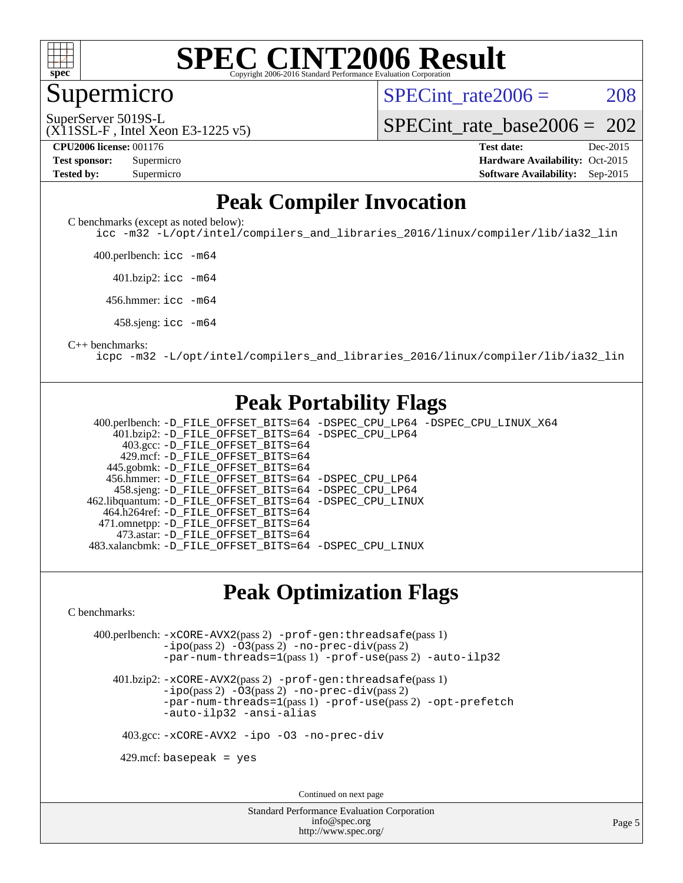

#### **[SPEC CINT2006 Result](http://www.spec.org/auto/cpu2006/Docs/result-fields.html#SPECCINT2006Result)** Copyright 2006-2016 Standard Performance Evaluation C

Supermicro

SPECint rate $2006 = 208$ 

SuperServer 5019S-L

#### (X11SSL-F , Intel Xeon E3-1225 v5)

**[CPU2006 license:](http://www.spec.org/auto/cpu2006/Docs/result-fields.html#CPU2006license)** 001176 **[Test date:](http://www.spec.org/auto/cpu2006/Docs/result-fields.html#Testdate)** Dec-2015

[SPECint\\_rate\\_base2006 =](http://www.spec.org/auto/cpu2006/Docs/result-fields.html#SPECintratebase2006) 202

**[Test sponsor:](http://www.spec.org/auto/cpu2006/Docs/result-fields.html#Testsponsor)** Supermicro Supermicro **[Hardware Availability:](http://www.spec.org/auto/cpu2006/Docs/result-fields.html#HardwareAvailability)** Oct-2015 **[Tested by:](http://www.spec.org/auto/cpu2006/Docs/result-fields.html#Testedby)** Supermicro **Supermicro [Software Availability:](http://www.spec.org/auto/cpu2006/Docs/result-fields.html#SoftwareAvailability)** Sep-2015

### **[Peak Compiler Invocation](http://www.spec.org/auto/cpu2006/Docs/result-fields.html#PeakCompilerInvocation)**

[C benchmarks \(except as noted below\)](http://www.spec.org/auto/cpu2006/Docs/result-fields.html#Cbenchmarksexceptasnotedbelow):

[icc -m32 -L/opt/intel/compilers\\_and\\_libraries\\_2016/linux/compiler/lib/ia32\\_lin](http://www.spec.org/cpu2006/results/res2016q1/cpu2006-20151223-38500.flags.html#user_CCpeak_intel_icc_e10256ba5924b668798078a321b0cb3f)

400.perlbench: [icc -m64](http://www.spec.org/cpu2006/results/res2016q1/cpu2006-20151223-38500.flags.html#user_peakCCLD400_perlbench_intel_icc_64bit_bda6cc9af1fdbb0edc3795bac97ada53)

401.bzip2: [icc -m64](http://www.spec.org/cpu2006/results/res2016q1/cpu2006-20151223-38500.flags.html#user_peakCCLD401_bzip2_intel_icc_64bit_bda6cc9af1fdbb0edc3795bac97ada53)

456.hmmer: [icc -m64](http://www.spec.org/cpu2006/results/res2016q1/cpu2006-20151223-38500.flags.html#user_peakCCLD456_hmmer_intel_icc_64bit_bda6cc9af1fdbb0edc3795bac97ada53)

458.sjeng: [icc -m64](http://www.spec.org/cpu2006/results/res2016q1/cpu2006-20151223-38500.flags.html#user_peakCCLD458_sjeng_intel_icc_64bit_bda6cc9af1fdbb0edc3795bac97ada53)

#### [C++ benchmarks:](http://www.spec.org/auto/cpu2006/Docs/result-fields.html#CXXbenchmarks)

[icpc -m32 -L/opt/intel/compilers\\_and\\_libraries\\_2016/linux/compiler/lib/ia32\\_lin](http://www.spec.org/cpu2006/results/res2016q1/cpu2006-20151223-38500.flags.html#user_CXXpeak_intel_icpc_b4f50a394bdb4597aa5879c16bc3f5c5)

### **[Peak Portability Flags](http://www.spec.org/auto/cpu2006/Docs/result-fields.html#PeakPortabilityFlags)**

 400.perlbench: [-D\\_FILE\\_OFFSET\\_BITS=64](http://www.spec.org/cpu2006/results/res2016q1/cpu2006-20151223-38500.flags.html#user_peakPORTABILITY400_perlbench_file_offset_bits_64_438cf9856305ebd76870a2c6dc2689ab) [-DSPEC\\_CPU\\_LP64](http://www.spec.org/cpu2006/results/res2016q1/cpu2006-20151223-38500.flags.html#b400.perlbench_peakCPORTABILITY_DSPEC_CPU_LP64) [-DSPEC\\_CPU\\_LINUX\\_X64](http://www.spec.org/cpu2006/results/res2016q1/cpu2006-20151223-38500.flags.html#b400.perlbench_peakCPORTABILITY_DSPEC_CPU_LINUX_X64) 401.bzip2: [-D\\_FILE\\_OFFSET\\_BITS=64](http://www.spec.org/cpu2006/results/res2016q1/cpu2006-20151223-38500.flags.html#user_peakPORTABILITY401_bzip2_file_offset_bits_64_438cf9856305ebd76870a2c6dc2689ab) [-DSPEC\\_CPU\\_LP64](http://www.spec.org/cpu2006/results/res2016q1/cpu2006-20151223-38500.flags.html#suite_peakCPORTABILITY401_bzip2_DSPEC_CPU_LP64) 403.gcc: [-D\\_FILE\\_OFFSET\\_BITS=64](http://www.spec.org/cpu2006/results/res2016q1/cpu2006-20151223-38500.flags.html#user_peakPORTABILITY403_gcc_file_offset_bits_64_438cf9856305ebd76870a2c6dc2689ab) 429.mcf: [-D\\_FILE\\_OFFSET\\_BITS=64](http://www.spec.org/cpu2006/results/res2016q1/cpu2006-20151223-38500.flags.html#user_peakPORTABILITY429_mcf_file_offset_bits_64_438cf9856305ebd76870a2c6dc2689ab) 445.gobmk: [-D\\_FILE\\_OFFSET\\_BITS=64](http://www.spec.org/cpu2006/results/res2016q1/cpu2006-20151223-38500.flags.html#user_peakPORTABILITY445_gobmk_file_offset_bits_64_438cf9856305ebd76870a2c6dc2689ab) 456.hmmer: [-D\\_FILE\\_OFFSET\\_BITS=64](http://www.spec.org/cpu2006/results/res2016q1/cpu2006-20151223-38500.flags.html#user_peakPORTABILITY456_hmmer_file_offset_bits_64_438cf9856305ebd76870a2c6dc2689ab) [-DSPEC\\_CPU\\_LP64](http://www.spec.org/cpu2006/results/res2016q1/cpu2006-20151223-38500.flags.html#suite_peakCPORTABILITY456_hmmer_DSPEC_CPU_LP64) 458.sjeng: [-D\\_FILE\\_OFFSET\\_BITS=64](http://www.spec.org/cpu2006/results/res2016q1/cpu2006-20151223-38500.flags.html#user_peakPORTABILITY458_sjeng_file_offset_bits_64_438cf9856305ebd76870a2c6dc2689ab) [-DSPEC\\_CPU\\_LP64](http://www.spec.org/cpu2006/results/res2016q1/cpu2006-20151223-38500.flags.html#suite_peakCPORTABILITY458_sjeng_DSPEC_CPU_LP64) 462.libquantum: [-D\\_FILE\\_OFFSET\\_BITS=64](http://www.spec.org/cpu2006/results/res2016q1/cpu2006-20151223-38500.flags.html#user_peakPORTABILITY462_libquantum_file_offset_bits_64_438cf9856305ebd76870a2c6dc2689ab) [-DSPEC\\_CPU\\_LINUX](http://www.spec.org/cpu2006/results/res2016q1/cpu2006-20151223-38500.flags.html#b462.libquantum_peakCPORTABILITY_DSPEC_CPU_LINUX) 464.h264ref: [-D\\_FILE\\_OFFSET\\_BITS=64](http://www.spec.org/cpu2006/results/res2016q1/cpu2006-20151223-38500.flags.html#user_peakPORTABILITY464_h264ref_file_offset_bits_64_438cf9856305ebd76870a2c6dc2689ab) 471.omnetpp: [-D\\_FILE\\_OFFSET\\_BITS=64](http://www.spec.org/cpu2006/results/res2016q1/cpu2006-20151223-38500.flags.html#user_peakPORTABILITY471_omnetpp_file_offset_bits_64_438cf9856305ebd76870a2c6dc2689ab) 473.astar: [-D\\_FILE\\_OFFSET\\_BITS=64](http://www.spec.org/cpu2006/results/res2016q1/cpu2006-20151223-38500.flags.html#user_peakPORTABILITY473_astar_file_offset_bits_64_438cf9856305ebd76870a2c6dc2689ab) 483.xalancbmk: [-D\\_FILE\\_OFFSET\\_BITS=64](http://www.spec.org/cpu2006/results/res2016q1/cpu2006-20151223-38500.flags.html#user_peakPORTABILITY483_xalancbmk_file_offset_bits_64_438cf9856305ebd76870a2c6dc2689ab) [-DSPEC\\_CPU\\_LINUX](http://www.spec.org/cpu2006/results/res2016q1/cpu2006-20151223-38500.flags.html#b483.xalancbmk_peakCXXPORTABILITY_DSPEC_CPU_LINUX)

#### **[Peak Optimization Flags](http://www.spec.org/auto/cpu2006/Docs/result-fields.html#PeakOptimizationFlags)**

[C benchmarks](http://www.spec.org/auto/cpu2006/Docs/result-fields.html#Cbenchmarks):

 400.perlbench: [-xCORE-AVX2](http://www.spec.org/cpu2006/results/res2016q1/cpu2006-20151223-38500.flags.html#user_peakPASS2_CFLAGSPASS2_LDCFLAGS400_perlbench_f-xAVX2_5f5fc0cbe2c9f62c816d3e45806c70d7)(pass 2) [-prof-gen:threadsafe](http://www.spec.org/cpu2006/results/res2016q1/cpu2006-20151223-38500.flags.html#user_peakPASS1_CFLAGSPASS1_LDCFLAGS400_perlbench_prof_gen_21a26eb79f378b550acd7bec9fe4467a)(pass 1) [-ipo](http://www.spec.org/cpu2006/results/res2016q1/cpu2006-20151223-38500.flags.html#user_peakPASS2_CFLAGSPASS2_LDCFLAGS400_perlbench_f-ipo)(pass 2) [-O3](http://www.spec.org/cpu2006/results/res2016q1/cpu2006-20151223-38500.flags.html#user_peakPASS2_CFLAGSPASS2_LDCFLAGS400_perlbench_f-O3)(pass 2) [-no-prec-div](http://www.spec.org/cpu2006/results/res2016q1/cpu2006-20151223-38500.flags.html#user_peakPASS2_CFLAGSPASS2_LDCFLAGS400_perlbench_f-no-prec-div)(pass 2) [-par-num-threads=1](http://www.spec.org/cpu2006/results/res2016q1/cpu2006-20151223-38500.flags.html#user_peakPASS1_CFLAGSPASS1_LDCFLAGS400_perlbench_par_num_threads_786a6ff141b4e9e90432e998842df6c2)(pass 1) [-prof-use](http://www.spec.org/cpu2006/results/res2016q1/cpu2006-20151223-38500.flags.html#user_peakPASS2_CFLAGSPASS2_LDCFLAGS400_perlbench_prof_use_bccf7792157ff70d64e32fe3e1250b55)(pass 2) [-auto-ilp32](http://www.spec.org/cpu2006/results/res2016q1/cpu2006-20151223-38500.flags.html#user_peakCOPTIMIZE400_perlbench_f-auto-ilp32)

 401.bzip2: [-xCORE-AVX2](http://www.spec.org/cpu2006/results/res2016q1/cpu2006-20151223-38500.flags.html#user_peakPASS2_CFLAGSPASS2_LDCFLAGS401_bzip2_f-xAVX2_5f5fc0cbe2c9f62c816d3e45806c70d7)(pass 2) [-prof-gen:threadsafe](http://www.spec.org/cpu2006/results/res2016q1/cpu2006-20151223-38500.flags.html#user_peakPASS1_CFLAGSPASS1_LDCFLAGS401_bzip2_prof_gen_21a26eb79f378b550acd7bec9fe4467a)(pass 1)  $-i\text{po}(pass 2)$  [-O3](http://www.spec.org/cpu2006/results/res2016q1/cpu2006-20151223-38500.flags.html#user_peakPASS2_CFLAGSPASS2_LDCFLAGS401_bzip2_f-O3) $(pass 2)$  [-no-prec-div](http://www.spec.org/cpu2006/results/res2016q1/cpu2006-20151223-38500.flags.html#user_peakPASS2_CFLAGSPASS2_LDCFLAGS401_bzip2_f-no-prec-div) $(pass 2)$ [-par-num-threads=1](http://www.spec.org/cpu2006/results/res2016q1/cpu2006-20151223-38500.flags.html#user_peakPASS1_CFLAGSPASS1_LDCFLAGS401_bzip2_par_num_threads_786a6ff141b4e9e90432e998842df6c2)(pass 1) [-prof-use](http://www.spec.org/cpu2006/results/res2016q1/cpu2006-20151223-38500.flags.html#user_peakPASS2_CFLAGSPASS2_LDCFLAGS401_bzip2_prof_use_bccf7792157ff70d64e32fe3e1250b55)(pass 2) [-opt-prefetch](http://www.spec.org/cpu2006/results/res2016q1/cpu2006-20151223-38500.flags.html#user_peakCOPTIMIZE401_bzip2_f-opt-prefetch) [-auto-ilp32](http://www.spec.org/cpu2006/results/res2016q1/cpu2006-20151223-38500.flags.html#user_peakCOPTIMIZE401_bzip2_f-auto-ilp32) [-ansi-alias](http://www.spec.org/cpu2006/results/res2016q1/cpu2006-20151223-38500.flags.html#user_peakCOPTIMIZE401_bzip2_f-ansi-alias)

403.gcc: [-xCORE-AVX2](http://www.spec.org/cpu2006/results/res2016q1/cpu2006-20151223-38500.flags.html#user_peakCOPTIMIZE403_gcc_f-xAVX2_5f5fc0cbe2c9f62c816d3e45806c70d7) [-ipo](http://www.spec.org/cpu2006/results/res2016q1/cpu2006-20151223-38500.flags.html#user_peakCOPTIMIZE403_gcc_f-ipo) [-O3](http://www.spec.org/cpu2006/results/res2016q1/cpu2006-20151223-38500.flags.html#user_peakCOPTIMIZE403_gcc_f-O3) [-no-prec-div](http://www.spec.org/cpu2006/results/res2016q1/cpu2006-20151223-38500.flags.html#user_peakCOPTIMIZE403_gcc_f-no-prec-div)

 $429$ .mcf: basepeak = yes

Continued on next page

Standard Performance Evaluation Corporation [info@spec.org](mailto:info@spec.org) <http://www.spec.org/>

Page 5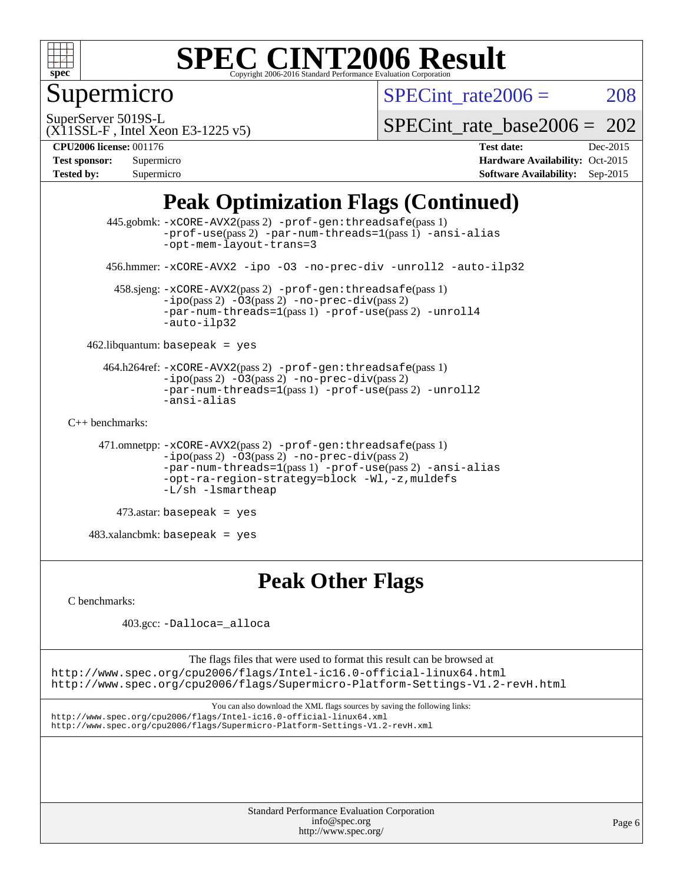

## Supermicro

SPECint rate $2006 = 208$ 

SuperServer 5019S-L

SPECint rate base2006 =  $202$ 

(X11SSL-F , Intel Xeon E3-1225 v5) **[CPU2006 license:](http://www.spec.org/auto/cpu2006/Docs/result-fields.html#CPU2006license)** 001176 **[Test date:](http://www.spec.org/auto/cpu2006/Docs/result-fields.html#Testdate)** Dec-2015

| <b>Test sponsor:</b> | Supermicro |
|----------------------|------------|
| <b>Tested by:</b>    | Supermicro |

**[Hardware Availability:](http://www.spec.org/auto/cpu2006/Docs/result-fields.html#HardwareAvailability)** Oct-2015 **[Software Availability:](http://www.spec.org/auto/cpu2006/Docs/result-fields.html#SoftwareAvailability)** Sep-2015

## **[Peak Optimization Flags \(Continued\)](http://www.spec.org/auto/cpu2006/Docs/result-fields.html#PeakOptimizationFlags)**

```
 445.gobmk: -xCORE-AVX2(pass 2) -prof-gen:threadsafe(pass 1)
                -prof-use(pass 2) -par-num-threads=1(pass 1) -ansi-alias
                -opt-mem-layout-trans=3
       456.hmmer: -xCORE-AVX2 -ipo -O3 -no-prec-div -unroll2 -auto-ilp32
        458.sjeng: -xCORE-AVX2(pass 2) -prof-gen:threadsafe(pass 1)
                -i\text{po}(pass 2) -\overline{O}3(pass 2)-no-prec-div(pass 2)
                -par-num-threads=1-prof-use-unroll4
                -auto-ilp32
    462.libquantum: basepeak = yes
      464.h264ref: -xCORE-AVX2(pass 2) -prof-gen:threadsafe(pass 1)
               -ipo(pass 2) -O3(pass 2) -no-prec-div(pass 2)
               -par-num-threads=1(pass 1) -prof-use(pass 2) -unroll2
                -ansi-alias
C++ benchmarks: 
      471.omnetpp: -xCORE-AVX2(pass 2) -prof-gen:threadsafe(pass 1)
               -no-prec-div(pass 2)-par-num-threads=1(pass 1) -prof-use(pass 2) -ansi-alias
                -opt-ra-region-strategy=block -Wl,-z,muldefs
                -L/sh -lsmartheap
         473.astar: basepeak = yes
    483.xalancbmk: basepeak = yes
```
#### **[Peak Other Flags](http://www.spec.org/auto/cpu2006/Docs/result-fields.html#PeakOtherFlags)**

[C benchmarks](http://www.spec.org/auto/cpu2006/Docs/result-fields.html#Cbenchmarks):

403.gcc: [-Dalloca=\\_alloca](http://www.spec.org/cpu2006/results/res2016q1/cpu2006-20151223-38500.flags.html#b403.gcc_peakEXTRA_CFLAGS_Dalloca_be3056838c12de2578596ca5467af7f3)

The flags files that were used to format this result can be browsed at <http://www.spec.org/cpu2006/flags/Intel-ic16.0-official-linux64.html> <http://www.spec.org/cpu2006/flags/Supermicro-Platform-Settings-V1.2-revH.html>

You can also download the XML flags sources by saving the following links: <http://www.spec.org/cpu2006/flags/Intel-ic16.0-official-linux64.xml> <http://www.spec.org/cpu2006/flags/Supermicro-Platform-Settings-V1.2-revH.xml>